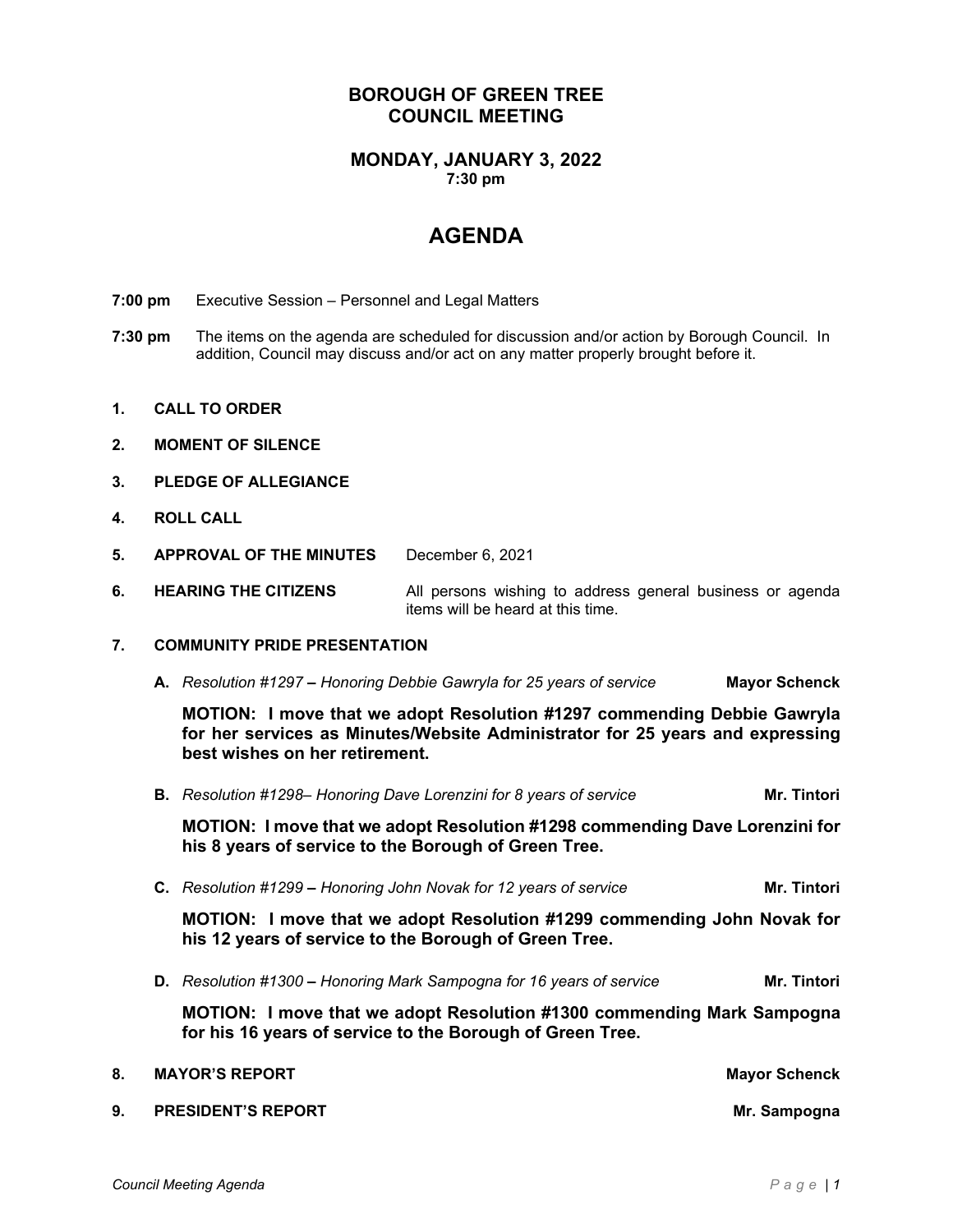# **BOROUGH OF GREEN TREE COUNCIL MEETING**

# **MONDAY, JANUARY 3, 2022 7:30 pm**

# **AGENDA**

- **7:00 pm** Executive Session Personnel and Legal Matters
- **7:30 pm** The items on the agenda are scheduled for discussion and/or action by Borough Council. In addition, Council may discuss and/or act on any matter properly brought before it.
- **1. CALL TO ORDER**
- **2. MOMENT OF SILENCE**
- **3. PLEDGE OF ALLEGIANCE**
- **4. ROLL CALL**
- **5. APPROVAL OF THE MINUTES** December 6, 2021
- **6. HEARING THE CITIZENS** All persons wishing to address general business or agenda items will be heard at this time.

### **7. COMMUNITY PRIDE PRESENTATION**

**A.** *Resolution #1297 – Honoring Debbie Gawryla for 25 years of service* **Mayor Schenck**

**MOTION: I move that we adopt Resolution #1297 commending Debbie Gawryla for her services as Minutes/Website Administrator for 25 years and expressing best wishes on her retirement.**

**B.** *Resolution #1298– Honoring Dave Lorenzini for 8 years of service* **Mr. Tintori** 

**MOTION: I move that we adopt Resolution #1298 commending Dave Lorenzini for his 8 years of service to the Borough of Green Tree.**

**C.** *Resolution #1299 – Honoring John Novak for 12 years of service* **Mr. Tintori**

**MOTION: I move that we adopt Resolution #1299 commending John Novak for his 12 years of service to the Borough of Green Tree.**

**D.** *Resolution #1300 – Honoring Mark Sampogna for 16 years of service* **Mr. Tintori**

**MOTION: I move that we adopt Resolution #1300 commending Mark Sampogna for his 16 years of service to the Borough of Green Tree.**

**8. MAYOR'S REPORT MAYOR'S REPORT 9. PRESIDENT'S REPORT Mr. Sampogna**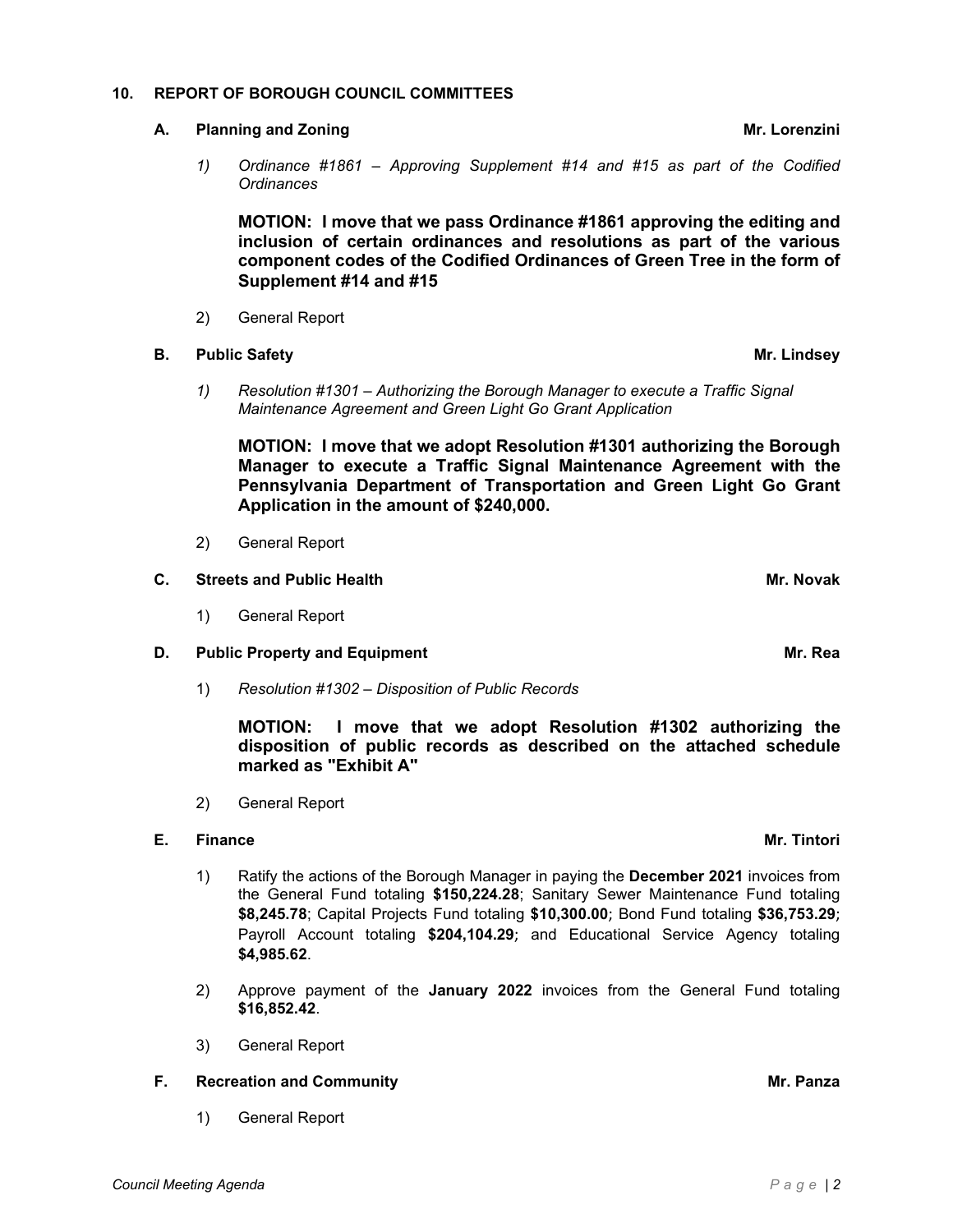# **10. REPORT OF BOROUGH COUNCIL COMMITTEES**

# **A. Planning and Zoning Mr. Lorenzini**

*1) Ordinance #1861 – Approving Supplement #14 and #15 as part of the Codified Ordinances*

**MOTION: I move that we pass Ordinance #1861 approving the editing and inclusion of certain ordinances and resolutions as part of the various component codes of the Codified Ordinances of Green Tree in the form of Supplement #14 and #15**

2) General Report

# **B. Public Safety Mr. Lindsey**

*1) Resolution #1301 – Authorizing the Borough Manager to execute a Traffic Signal Maintenance Agreement and Green Light Go Grant Application*

**MOTION: I move that we adopt Resolution #1301 authorizing the Borough Manager to execute a Traffic Signal Maintenance Agreement with the Pennsylvania Department of Transportation and Green Light Go Grant Application in the amount of \$240,000.** 

2) General Report

# **C. Streets and Public Health Mr. Novak**

1) General Report

# **D. Public Property and Equipment Mr. Rea**

1) *Resolution #1302 – Disposition of Public Records*

**MOTION: I move that we adopt Resolution #1302 authorizing the disposition of public records as described on the attached schedule marked as "Exhibit A"** 

2) General Report

# **E. Finance Mr. Tintori**

- 1) Ratify the actions of the Borough Manager in paying the **December 2021** invoices from the General Fund totaling **\$150,224.28**; Sanitary Sewer Maintenance Fund totaling **\$8,245.78**; Capital Projects Fund totaling **\$10,300.00**; Bond Fund totaling **\$36,753.29**; Payroll Account totaling **\$204,104.29**; and Educational Service Agency totaling **\$4,985.62**.
- 2) Approve payment of the **January 2022** invoices from the General Fund totaling **\$16,852.42**.
- 3) General Report

# **F.** Recreation and Community **Mr. Panza**

1) General Report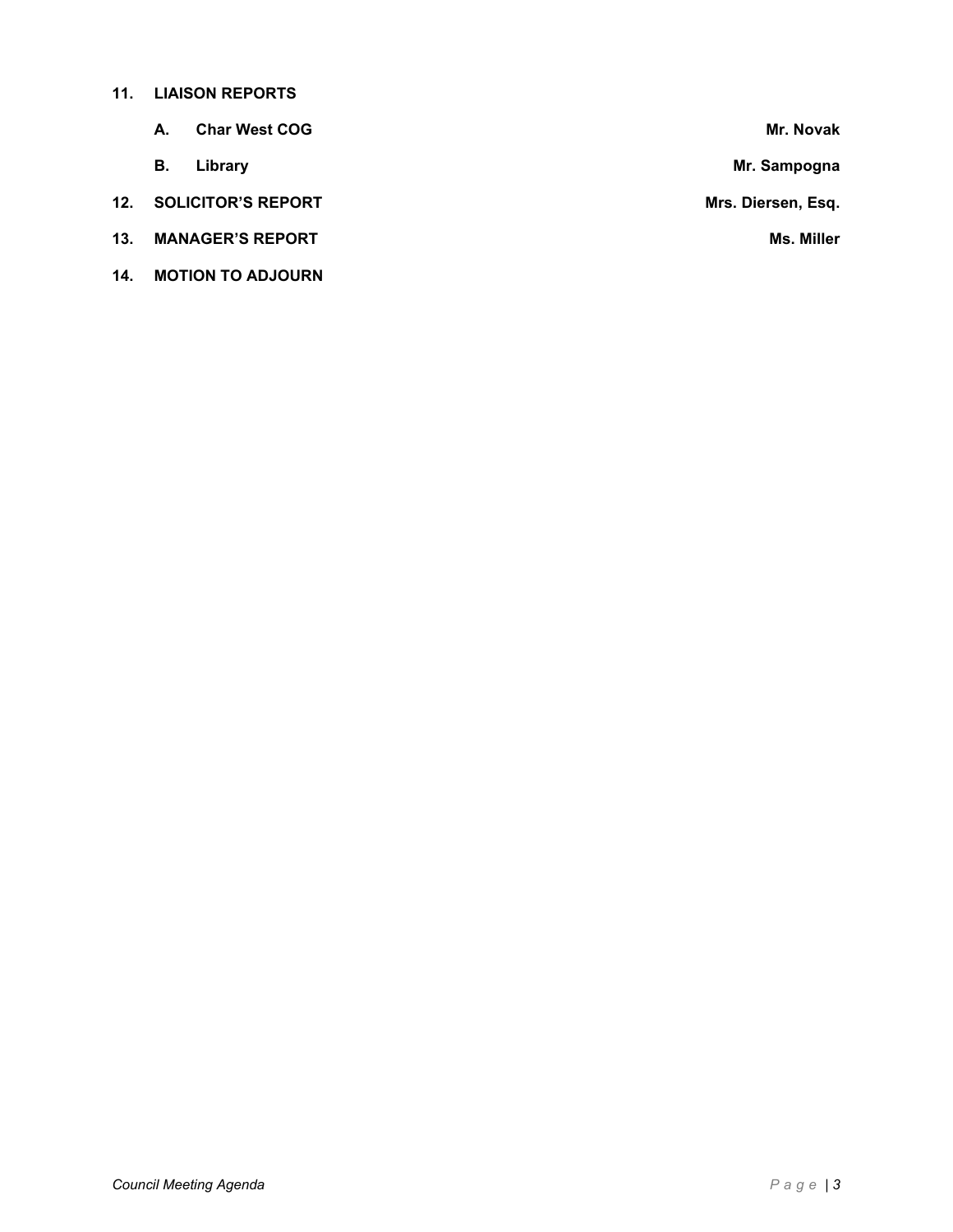# **11. LIAISON REPORTS**

|     | А.                      | <b>Char West COG</b>      | Mr. Novak          |
|-----|-------------------------|---------------------------|--------------------|
|     | В.                      | Library                   | Mr. Sampogna       |
| 12. |                         | <b>SOLICITOR'S REPORT</b> | Mrs. Diersen, Esq. |
| 13. | <b>MANAGER'S REPORT</b> |                           | <b>Ms. Miller</b>  |
| 14. |                         | <b>MOTION TO ADJOURN</b>  |                    |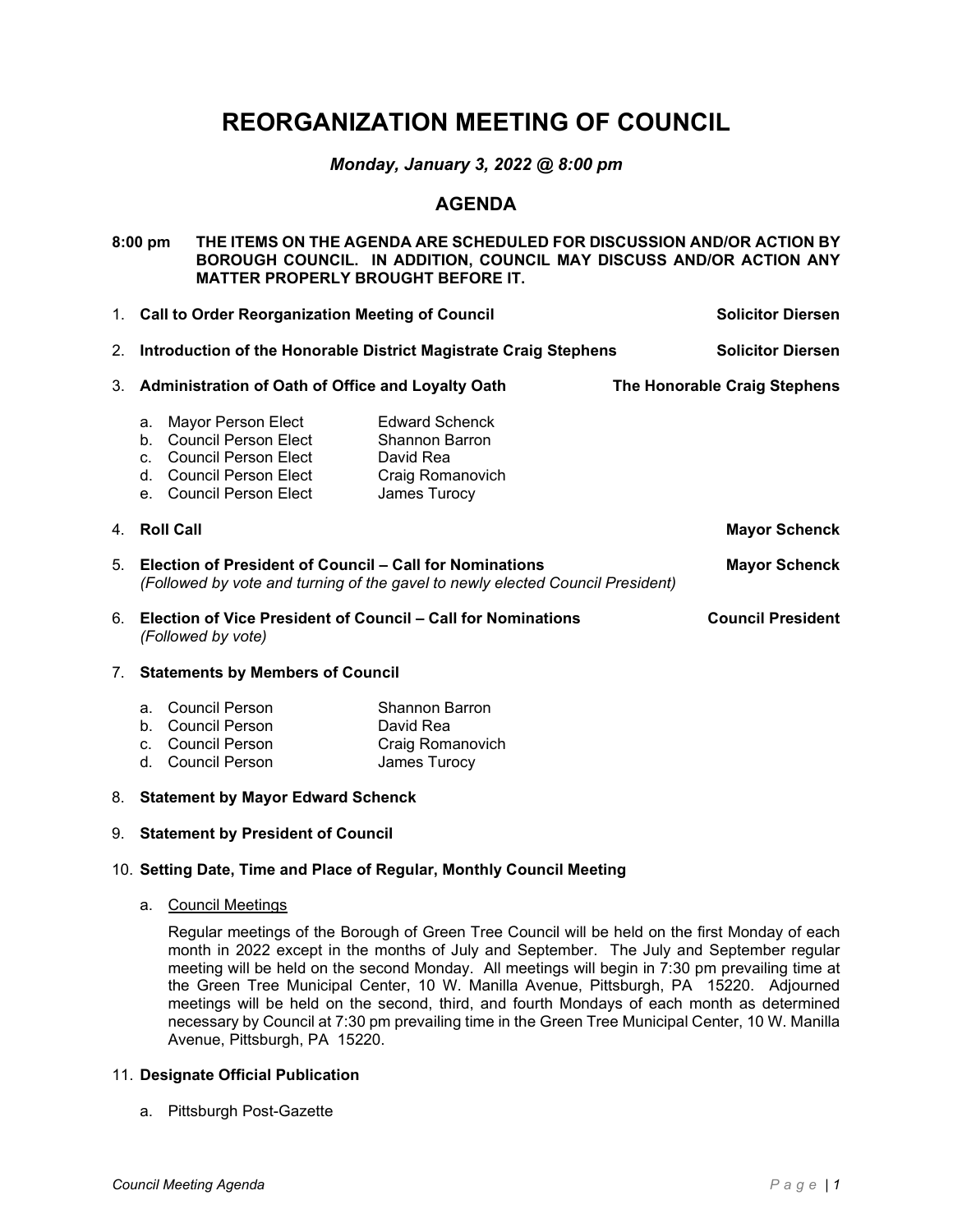# **REORGANIZATION MEETING OF COUNCIL**

# *Monday, January 3, 2022 @ 8:00 pm*

# **AGENDA**

**8:00 pm THE ITEMS ON THE AGENDA ARE SCHEDULED FOR DISCUSSION AND/OR ACTION BY BOROUGH COUNCIL. IN ADDITION, COUNCIL MAY DISCUSS AND/OR ACTION ANY MATTER PROPERLY BROUGHT BEFORE IT.** 

1. **Call to Order Reorganization Meeting of Council Solicitor Diersen** 2. **Introduction of the Honorable District Magistrate Craig Stephens Solicitor Diersen** 3. **Administration of Oath of Office and Loyalty Oath The Honorable Craig Stephens** a. Mayor Person Elect Edward Schenck b. Council Person Elect Shannon Barron c. Council Person Elect David Rea<br>d. Council Person Elect Craig Romanovich d. Council Person Elect e. Council Person Elect James Turocy 4. **Roll Call Mayor Schenck** 5. **Election of President of Council – Call for Nominations Mayor Schenck** *(Followed by vote and turning of the gavel to newly elected Council President)* 6. **Election of Vice President of Council – Call for Nominations Council President** *(Followed by vote)*

# 7. **Statements by Members of Council**

| a. Council Person | <b>Shannon Barron</b> |
|-------------------|-----------------------|
| b. Council Person | David Rea             |
| c. Council Person | Craig Romanovich      |
| d. Council Person | James Turocy          |

### 8. **Statement by Mayor Edward Schenck**

### 9. **Statement by President of Council**

# 10. **Setting Date, Time and Place of Regular, Monthly Council Meeting**

a. Council Meetings

Regular meetings of the Borough of Green Tree Council will be held on the first Monday of each month in 2022 except in the months of July and September. The July and September regular meeting will be held on the second Monday. All meetings will begin in 7:30 pm prevailing time at the Green Tree Municipal Center, 10 W. Manilla Avenue, Pittsburgh, PA 15220. Adjourned meetings will be held on the second, third, and fourth Mondays of each month as determined necessary by Council at 7:30 pm prevailing time in the Green Tree Municipal Center, 10 W. Manilla Avenue, Pittsburgh, PA 15220.

### 11. **Designate Official Publication**

a. Pittsburgh Post-Gazette